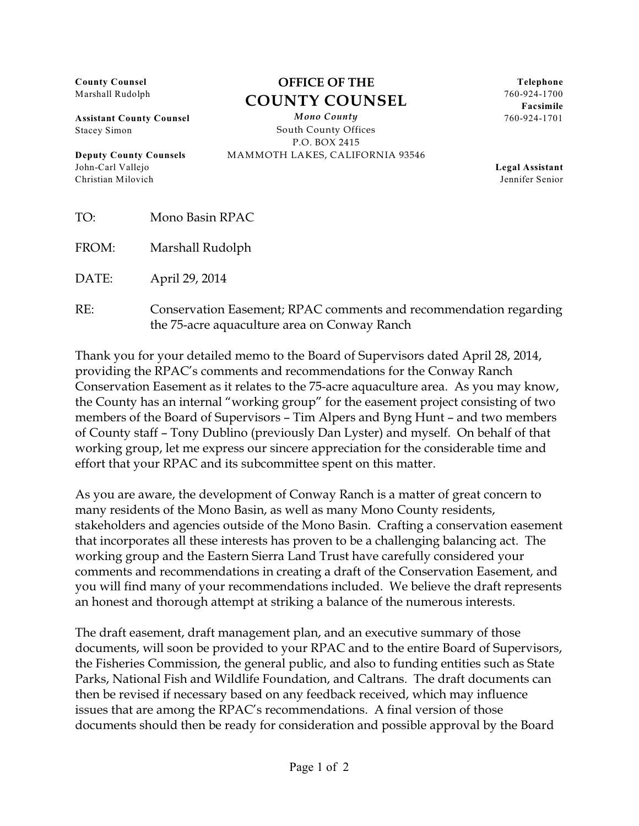**County Counsel** Marshall Rudolph

**Assistant County Counsel** Stacey Simon

**Deputy County Counsels** John-Carl Vallejo Christian Milovich

## **OFFICE OF THE COUNTY COUNSEL**

*Mono County* South County Offices P.O. BOX 2415 MAMMOTH LAKES, CALIFORNIA 93546

**Telephone** 760-924-1700 **Facsimile** 760-924-1701

**Legal Assistant** Jennifer Senior

FROM: Marshall Rudolph

DATE: April 29, 2014

RE: Conservation Easement; RPAC comments and recommendation regarding the 75-acre aquaculture area on Conway Ranch

Thank you for your detailed memo to the Board of Supervisors dated April 28, 2014, providing the RPAC's comments and recommendations for the Conway Ranch Conservation Easement as it relates to the 75-acre aquaculture area. As you may know, the County has an internal "working group" for the easement project consisting of two members of the Board of Supervisors – Tim Alpers and Byng Hunt – and two members of County staff – Tony Dublino (previously Dan Lyster) and myself. On behalf of that working group, let me express our sincere appreciation for the considerable time and effort that your RPAC and its subcommittee spent on this matter.

As you are aware, the development of Conway Ranch is a matter of great concern to many residents of the Mono Basin, as well as many Mono County residents, stakeholders and agencies outside of the Mono Basin. Crafting a conservation easement that incorporates all these interests has proven to be a challenging balancing act. The working group and the Eastern Sierra Land Trust have carefully considered your comments and recommendations in creating a draft of the Conservation Easement, and you will find many of your recommendations included. We believe the draft represents an honest and thorough attempt at striking a balance of the numerous interests.

The draft easement, draft management plan, and an executive summary of those documents, will soon be provided to your RPAC and to the entire Board of Supervisors, the Fisheries Commission, the general public, and also to funding entities such as State Parks, National Fish and Wildlife Foundation, and Caltrans. The draft documents can then be revised if necessary based on any feedback received, which may influence issues that are among the RPAC's recommendations. A final version of those documents should then be ready for consideration and possible approval by the Board